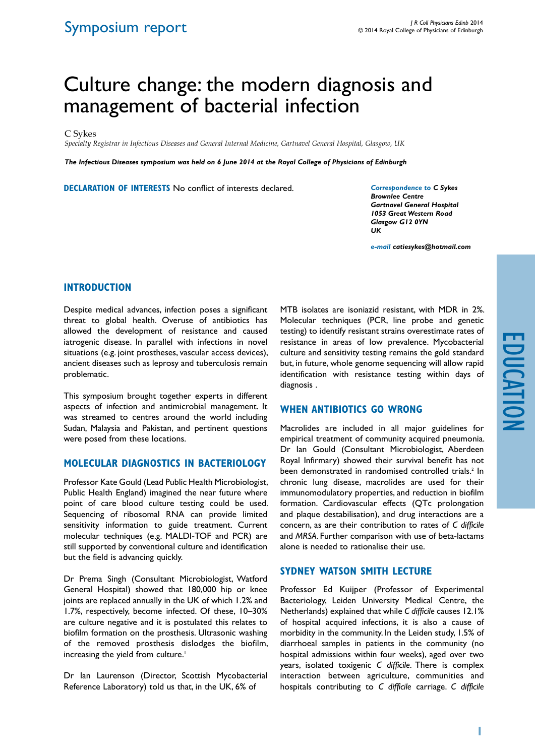# Culture change: the modern diagnosis and management of bacterial infection

C Sykes

*Specialty Registrar in Infectious Diseases and General Internal Medicine, Gartnavel General Hospital, Glasgow, UK* 

*The Infectious Diseases symposium was held on 6 June 2014 at the Royal College of Physicians of Edinburgh*

**Declaration of Interests** No conflict of interests declared.

*Correspondence to C Sykes Brownlee Centre Gartnavel General Hospital 1053 Great Western Road Glasgow G12 0YN UK*

*e-mail catiesykes@hotmail.com*

# education

### **Introduction**

Despite medical advances, infection poses a significant threat to global health. Overuse of antibiotics has allowed the development of resistance and caused iatrogenic disease. In parallel with infections in novel situations (e.g. joint prostheses, vascular access devices), ancient diseases such as leprosy and tuberculosis remain problematic.

This symposium brought together experts in different aspects of infection and antimicrobial management. It was streamed to centres around the world including Sudan, Malaysia and Pakistan, and pertinent questions were posed from these locations.

### **Molecular diagnostics in bacteriology**

Professor Kate Gould (Lead Public Health Microbiologist, Public Health England) imagined the near future where point of care blood culture testing could be used. Sequencing of ribosomal RNA can provide limited sensitivity information to guide treatment. Current molecular techniques (e.g. MALDI-TOF and PCR) are still supported by conventional culture and identification but the field is advancing quickly.

Dr Prema Singh (Consultant Microbiologist, Watford General Hospital) showed that 180,000 hip or knee joints are replaced annually in the UK of which 1.2% and 1.7%, respectively, become infected. Of these, 10–30% are culture negative and it is postulated this relates to biofilm formation on the prosthesis. Ultrasonic washing of the removed prosthesis dislodges the biofilm, increasing the yield from culture.<sup>1</sup>

Dr Ian Laurenson (Director, Scottish Mycobacterial Reference Laboratory) told us that, in the UK, 6% of

MTB isolates are isoniazid resistant, with MDR in 2%. Molecular techniques (PCR, line probe and genetic testing) to identify resistant strains overestimate rates of resistance in areas of low prevalence. Mycobacterial culture and sensitivity testing remains the gold standard but, in future, whole genome sequencing will allow rapid identification with resistance testing within days of diagnosis .

### **When antibiotics go wrong**

Macrolides are included in all major guidelines for empirical treatment of community acquired pneumonia. Dr Ian Gould (Consultant Microbiologist, Aberdeen Royal Infirmary) showed their survival benefit has not been demonstrated in randomised controlled trials.<sup>2</sup> In chronic lung disease, macrolides are used for their immunomodulatory properties, and reduction in biofilm formation. Cardiovascular effects (QTc prolongation and plaque destabilisation), and drug interactions are a concern, as are their contribution to rates of *C difficile*  and *MRSA*. Further comparison with use of beta-lactams alone is needed to rationalise their use.

### **Sydney Watson Smith Lecture**

Professor Ed Kuijper (Professor of Experimental Bacteriology, Leiden University Medical Centre, the Netherlands) explained that while *C difficile* causes 12.1% of hospital acquired infections, it is also a cause of morbidity in the community. In the Leiden study, 1.5% of diarrhoeal samples in patients in the community (no hospital admissions within four weeks), aged over two years, isolated toxigenic *C difficile*. There is complex interaction between agriculture, communities and hospitals contributing to *C difficile* carriage. *C difficile*